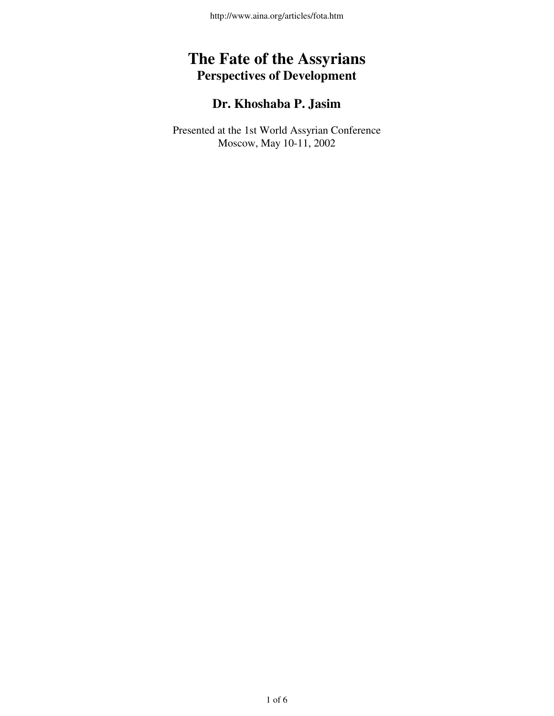## **The Fate of the Assyrians Perspectives of Development**

## **Dr. Khoshaba P. Jasim**

Presented at the 1st World Assyrian Conference Moscow, May 10-11, 2002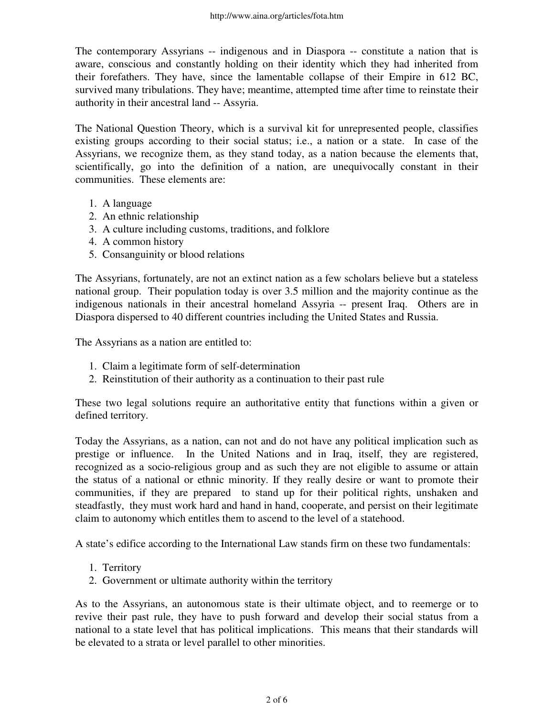The contemporary Assyrians -- indigenous and in Diaspora -- constitute a nation that is aware, conscious and constantly holding on their identity which they had inherited from their forefathers. They have, since the lamentable collapse of their Empire in 612 BC, survived many tribulations. They have; meantime, attempted time after time to reinstate their authority in their ancestral land -- Assyria.

The National Question Theory, which is a survival kit for unrepresented people, classifies existing groups according to their social status; i.e., a nation or a state. In case of the Assyrians, we recognize them, as they stand today, as a nation because the elements that, scientifically, go into the definition of a nation, are unequivocally constant in their communities. These elements are:

- 1. A language
- 2. An ethnic relationship
- 3. A culture including customs, traditions, and folklore
- 4. A common history
- 5. Consanguinity or blood relations

The Assyrians, fortunately, are not an extinct nation as a few scholars believe but a stateless national group. Their population today is over 3.5 million and the majority continue as the indigenous nationals in their ancestral homeland Assyria -- present Iraq. Others are in Diaspora dispersed to 40 different countries including the United States and Russia.

The Assyrians as a nation are entitled to:

- 1. Claim a legitimate form of self-determination
- 2. Reinstitution of their authority as a continuation to their past rule

These two legal solutions require an authoritative entity that functions within a given or defined territory.

Today the Assyrians, as a nation, can not and do not have any political implication such as prestige or influence. In the United Nations and in Iraq, itself, they are registered, recognized as a socio-religious group and as such they are not eligible to assume or attain the status of a national or ethnic minority. If they really desire or want to promote their communities, if they are prepared to stand up for their political rights, unshaken and steadfastly, they must work hard and hand in hand, cooperate, and persist on their legitimate claim to autonomy which entitles them to ascend to the level of a statehood.

A state's edifice according to the International Law stands firm on these two fundamentals:

- 1. Territory
- 2. Government or ultimate authority within the territory

As to the Assyrians, an autonomous state is their ultimate object, and to reemerge or to revive their past rule, they have to push forward and develop their social status from a national to a state level that has political implications. This means that their standards will be elevated to a strata or level parallel to other minorities.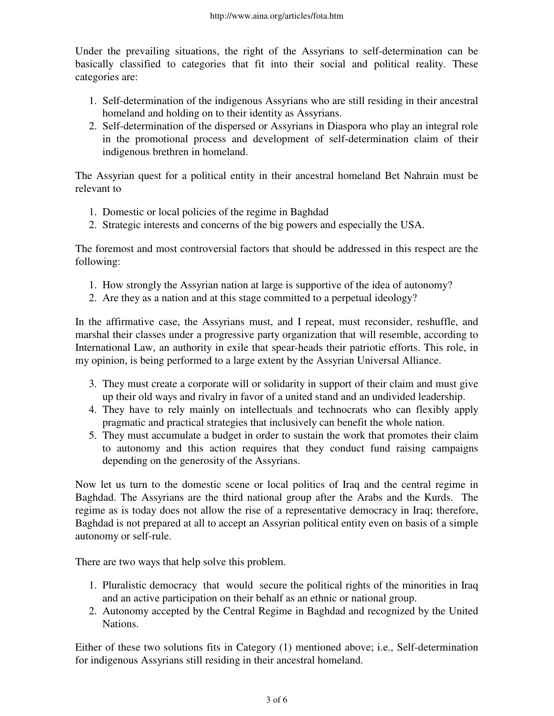Under the prevailing situations, the right of the Assyrians to self-determination can be basically classified to categories that fit into their social and political reality. These categories are:

- 1. Self-determination of the indigenous Assyrians who are still residing in their ancestral homeland and holding on to their identity as Assyrians.
- 2. Self-determination of the dispersed or Assyrians in Diaspora who play an integral role in the promotional process and development of self-determination claim of their indigenous brethren in homeland.

The Assyrian quest for a political entity in their ancestral homeland Bet Nahrain must be relevant to

- 1. Domestic or local policies of the regime in Baghdad
- 2. Strategic interests and concerns of the big powers and especially the USA.

The foremost and most controversial factors that should be addressed in this respect are the following:

- 1. How strongly the Assyrian nation at large is supportive of the idea of autonomy?
- 2. Are they as a nation and at this stage committed to a perpetual ideology?

In the affirmative case, the Assyrians must, and I repeat, must reconsider, reshuffle, and marshal their classes under a progressive party organization that will resemble, according to International Law, an authority in exile that spear-heads their patriotic efforts. This role, in my opinion, is being performed to a large extent by the Assyrian Universal Alliance.

- 3. They must create a corporate will or solidarity in support of their claim and must give up their old ways and rivalry in favor of a united stand and an undivided leadership.
- They have to rely mainly on intellectuals and technocrats who can flexibly apply 4. pragmatic and practical strategies that inclusively can benefit the whole nation.
- 5. They must accumulate a budget in order to sustain the work that promotes their claim to autonomy and this action requires that they conduct fund raising campaigns depending on the generosity of the Assyrians.

Now let us turn to the domestic scene or local politics of Iraq and the central regime in Baghdad. The Assyrians are the third national group after the Arabs and the Kurds. The regime as is today does not allow the rise of a representative democracy in Iraq; therefore, Baghdad is not prepared at all to accept an Assyrian political entity even on basis of a simple autonomy or self-rule.

There are two ways that help solve this problem.

- 1. Pluralistic democracy that would secure the political rights of the minorities in Iraq and an active participation on their behalf as an ethnic or national group.
- 2. Autonomy accepted by the Central Regime in Baghdad and recognized by the United Nations.

Either of these two solutions fits in Category (1) mentioned above; i.e., Self-determination for indigenous Assyrians still residing in their ancestral homeland.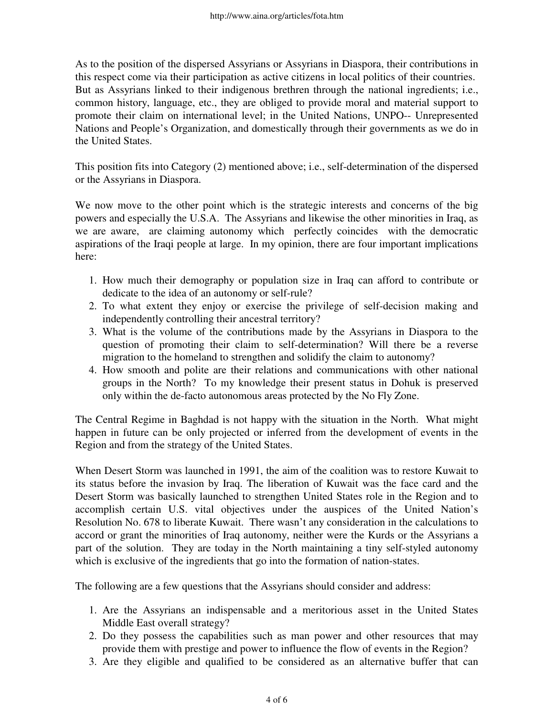As to the position of the dispersed Assyrians or Assyrians in Diaspora, their contributions in this respect come via their participation as active citizens in local politics of their countries. But as Assyrians linked to their indigenous brethren through the national ingredients; i.e., common history, language, etc., they are obliged to provide moral and material support to promote their claim on international level; in the United Nations, UNPO-- Unrepresented Nations and People's Organization, and domestically through their governments as we do in the United States.

This position fits into Category (2) mentioned above; i.e., self-determination of the dispersed or the Assyrians in Diaspora.

We now move to the other point which is the strategic interests and concerns of the big powers and especially the U.S.A. The Assyrians and likewise the other minorities in Iraq, as we are aware, are claiming autonomy which perfectly coincides with the democratic aspirations of the Iraqi people at large. In my opinion, there are four important implications here:

- 1. How much their demography or population size in Iraq can afford to contribute or dedicate to the idea of an autonomy or self-rule?
- 2. To what extent they enjoy or exercise the privilege of self-decision making and independently controlling their ancestral territory?
- What is the volume of the contributions made by the Assyrians in Diaspora to the 3. question of promoting their claim to self-determination? Will there be a reverse migration to the homeland to strengthen and solidify the claim to autonomy?
- 4. How smooth and polite are their relations and communications with other national groups in the North? To my knowledge their present status in Dohuk is preserved only within the de-facto autonomous areas protected by the No Fly Zone.

The Central Regime in Baghdad is not happy with the situation in the North. What might happen in future can be only projected or inferred from the development of events in the Region and from the strategy of the United States.

When Desert Storm was launched in 1991, the aim of the coalition was to restore Kuwait to its status before the invasion by Iraq. The liberation of Kuwait was the face card and the Desert Storm was basically launched to strengthen United States role in the Region and to accomplish certain U.S. vital objectives under the auspices of the United Nation's Resolution No. 678 to liberate Kuwait. There wasn't any consideration in the calculations to accord or grant the minorities of Iraq autonomy, neither were the Kurds or the Assyrians a part of the solution. They are today in the North maintaining a tiny self-styled autonomy which is exclusive of the ingredients that go into the formation of nation-states.

The following are a few questions that the Assyrians should consider and address:

- 1. Are the Assyrians an indispensable and a meritorious asset in the United States Middle East overall strategy?
- 2. Do they possess the capabilities such as man power and other resources that may provide them with prestige and power to influence the flow of events in the Region?
- 3. Are they eligible and qualified to be considered as an alternative buffer that can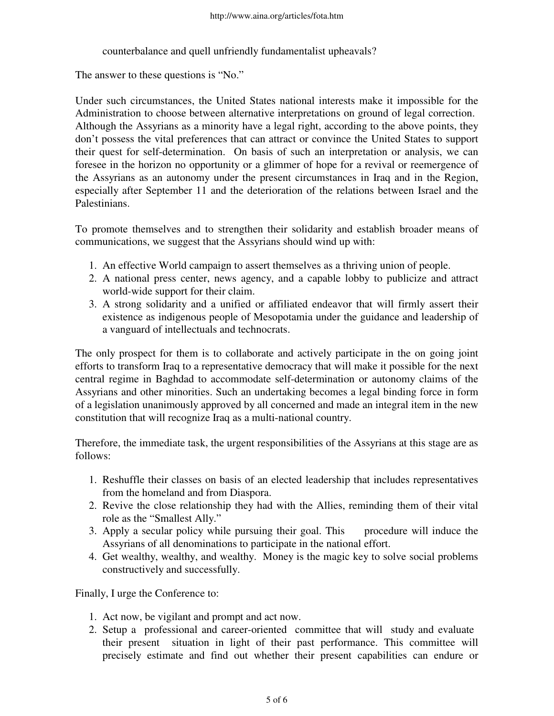counterbalance and quell unfriendly fundamentalist upheavals?

The answer to these questions is "No."

Under such circumstances, the United States national interests make it impossible for the Administration to choose between alternative interpretations on ground of legal correction. Although the Assyrians as a minority have a legal right, according to the above points, they don't possess the vital preferences that can attract or convince the United States to support their quest for self-determination. On basis of such an interpretation or analysis, we can foresee in the horizon no opportunity or a glimmer of hope for a revival or reemergence of the Assyrians as an autonomy under the present circumstances in Iraq and in the Region, especially after September 11 and the deterioration of the relations between Israel and the Palestinians.

To promote themselves and to strengthen their solidarity and establish broader means of communications, we suggest that the Assyrians should wind up with:

- 1. An effective World campaign to assert themselves as a thriving union of people.
- A national press center, news agency, and a capable lobby to publicize and attract 2. world-wide support for their claim.
- A strong solidarity and a unified or affiliated endeavor that will firmly assert their 3. existence as indigenous people of Mesopotamia under the guidance and leadership of a vanguard of intellectuals and technocrats.

The only prospect for them is to collaborate and actively participate in the on going joint efforts to transform Iraq to a representative democracy that will make it possible for the next central regime in Baghdad to accommodate self-determination or autonomy claims of the Assyrians and other minorities. Such an undertaking becomes a legal binding force in form of a legislation unanimously approved by all concerned and made an integral item in the new constitution that will recognize Iraq as a multi-national country.

Therefore, the immediate task, the urgent responsibilities of the Assyrians at this stage are as follows:

- 1. Reshuffle their classes on basis of an elected leadership that includes representatives from the homeland and from Diaspora.
- 2. Revive the close relationship they had with the Allies, reminding them of their vital role as the "Smallest Ally."
- 3. Apply a secular policy while pursuing their goal. This procedure will induce the Assyrians of all denominations to participate in the national effort.
- Get wealthy, wealthy, and wealthy. Money is the magic key to solve social problems 4. constructively and successfully.

Finally, I urge the Conference to:

- 1. Act now, be vigilant and prompt and act now.
- 2. Setup a professional and career-oriented committee that will study and evaluate their present situation in light of their past performance. This committee will precisely estimate and find out whether their present capabilities can endure or